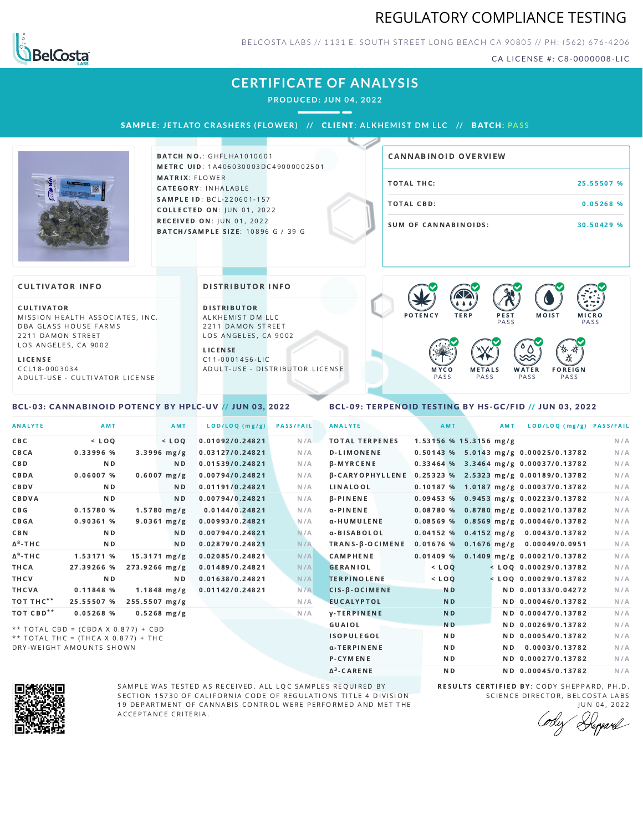## REGULATORY COMPLIANCE TESTING



BELCOSTA LABS // 1131 E. SOUTH STREET LONG BEACH C A 90805 // PH: (562) 676-4206

CA LICENSE #: C8-0000008-LIC

## **CERTIFICATE OF ANALYSIS**

**PRODUCED: JUN 04, 2022**

SAMPLE: JETLATO CRASHERS (FLOWER) // CLIENT: ALKHEMIST DM LLC // BATCH: PASS



**BATCH NO.: GHFLHA1010601** METRC UID: 1A406030003DC49000002501 MATRIX: FLOWER CATEGORY: INHALABLE SAMPLE ID: BCL-220601-157 **COLLECTED ON: JUN 01, 2022** RECEIVED ON: JUN 01, 2022 BATCH/SAMPLE SIZE: 10896 G / 39 G

| CANNABINOID OVERVIEW |            |
|----------------------|------------|
| TOTAL THC:           | 25.55507 % |
| TOTAL CBD:           | 0.05268%   |
| SUM OF CANNABINOIDS: | 30.50429 % |

#### **CULTIVATOR INFO**

CULTIVATOR MISSION HEALTH ASSOCIATES, INC. DBA GLASS HOUSE FARMS 2211 DAMON STREET LOS ANGELES, CA 9002

L I C E N S E

C C L 1 8 - 0 0 0 3 0 3 4 A D U L T - U S E - C U L T I V A T O R L I CENSE

<span id="page-0-0"></span>BCL-03: CANNABINOID POTENCY BY HPLC-UV // JUN 03, 2022

#### DISTRIBUTOR INFO

D I STRIBUTOR ALKHEMIST DM LLC 2211 DAMON STREET LOS ANGELES, CA 9002

L I C E N S E C 1 1 - 0 0 0 1 4 5 6 - L I C A D U L T - U S E - D I STRIBUTOR LICENSE



### <span id="page-0-1"></span>BCL-09: TERPENOID TESTING BY HS-GC/FID // JUN 03, 2022

| <b>ANALYTE</b>        | AMT                                 |                 | AMT            | LOD/LOQ (mg/g)  | <b>PASS/FAIL</b> | <b>ANALYTE</b>         | AMT            | AMT                      | LOD/LOQ (mg/g) PASS/FAIL                   |     |
|-----------------------|-------------------------------------|-----------------|----------------|-----------------|------------------|------------------------|----------------|--------------------------|--------------------------------------------|-----|
| C B C                 | $<$ LOQ                             |                 | $<$ LOO        | 0.01092/0.24821 | N/A              | <b>TOTAL TERPENES</b>  |                | $1.53156$ % 15.3156 mg/g |                                            | N/A |
| CBCA                  | 0.33996 %                           | $3.3996$ mg/g   |                | 0.03127/0.24821 | N/A              | <b>D-LIMONENE</b>      |                |                          | 0.50143 % 5.0143 mg/g 0.00025/0.13782      | N/A |
| CBD                   | N <sub>D</sub>                      |                 | ND.            | 0.01539/0.24821 | N/A              | β-MYRCENE              |                |                          | 0.33464 % 3.3464 mg/g 0.00037/0.13782      | N/A |
| CBDA                  | $0.06007$ %                         | $0.6007$ mg/g   |                | 0.00794/0.24821 | N/A              | <b>B-CARYOPHYLLENE</b> |                |                          | 0.25323 % 2.5323 mg/g 0.00189/0.13782      | N/A |
| CBDV                  | N <sub>D</sub>                      |                 | N <sub>D</sub> | 0.01191/0.24821 | N/A              | LINALOOL               |                |                          | 0.10187 % 1.0187 mg/g 0.00037/0.13782      | N/A |
| CBDVA                 | N <sub>D</sub>                      |                 | N <sub>D</sub> | 0.00794/0.24821 | N/A              | <b>B-PINENE</b>        |                |                          | 0.09453 % 0.9453 mg/g 0.00223/0.13782      | N/A |
| C B G                 | 0.15780 %                           | $1.5780$ mg/g   |                | 0.0144/0.24821  | N/A              | $\alpha$ -PINENE       |                |                          | 0.08780 % 0.8780 mg/g 0.00021/0.13782      | N/A |
| CBGA                  | 0.90361 %                           | $9.0361$ mg/g   |                | 0.00993/0.24821 | N/A              | α-HUMULENE             |                |                          | $0.08569$ % 0.8569 mg/g 0.00046/0.13782    | N/A |
| <b>CBN</b>            | N <sub>D</sub>                      |                 | N <sub>D</sub> | 0.00794/0.24821 | N/A              | α-BISABOLOL            |                |                          | $0.04152$ % $0.4152$ mg/g $0.0043/0.13782$ | N/A |
| $\Delta^8$ -THC       | N <sub>D</sub>                      |                 | N <sub>D</sub> | 0.02879/0.24821 | N/A              | $TRANS-B-OCIMENE$      |                |                          | $0.01676$ % 0.1676 mg/g 0.00049/0.0951     | N/A |
| $\Delta^9$ -THC       | 1.53171 %                           | $15.3171$ mg/g  |                | 0.02085/0.24821 | N/A              | <b>CAMPHENE</b>        | 0.01409%       |                          | 0.1409 mg/g 0.00021/0.13782                | N/A |
| THCA                  | 27.39266 %                          | $273.9266$ mg/g |                | 0.01489/0.24821 | N/A              | <b>GERANIOL</b>        | $<$ $LO$ $Q$   |                          | $<$ LOQ 0.00029/0.13782                    | N/A |
| THCV                  | N <sub>D</sub>                      |                 | N <sub>D</sub> | 0.01638/0.24821 | N/A              | <b>TERPINOLENE</b>     | $<$ $LOQ$      |                          | $<$ LOQ 0.00029/0.13782                    | N/A |
| <b>THCVA</b>          | 0.11848 %                           | $1.1848$ mg/g   |                | 0.01142/0.24821 | N/A              | CIS-B-OCIMENE          | <b>ND</b>      |                          | ND 0.00133/0.04272                         | N/A |
| TOT THC**             | 25.55507 %                          | 255.5507 mg/g   |                |                 | N/A              | <b>EUCALYPTOL</b>      | <b>ND</b>      |                          | ND 0.00046/0.13782                         | N/A |
| TOT CBD <sup>**</sup> | $0.05268$ %                         | $0.5268$ mg/g   |                |                 | N/A              | <b>V-TERPINENE</b>     | <b>ND</b>      |                          | ND 0.00047/0.13782                         | N/A |
|                       | ** TOTAL CBD = (CBDA X 0.877) + CBD |                 |                |                 |                  | <b>GUAIOL</b>          | N <sub>D</sub> |                          | ND 0.00269/0.13782                         | N/A |
|                       | ** TOTAL THC = (THCA X 0.877) + THC |                 |                |                 |                  | <b>ISOPULEGOL</b>      | N <sub>D</sub> |                          | ND 0.00054/0.13782                         | N/A |
|                       | DRY-WEIGHT AMOUNTS SHOWN            |                 |                |                 |                  | α-TERPINENE            | N <sub>D</sub> |                          | ND 0.0003/0.13782                          | N/A |

Δ 3



SAMPLE WAS TESTED AS RECEIVED. ALL LQC SAMPLES REQUIRED BY SECTION 15730 OF CALIFORNIA CODE OF REGULATIONS TITLE 4 DIVISION 19 DEPARTMENT OF CANNABIS CONTROL WERE PERFORMED AND MET THE A C C E P T A N C E C R I T E R I A.

RESULTS CERTIFIED BY: CODY SHEPPARD, PH.D. SCIENCE DIRECTOR, BELCOSTA LABS J U N 0 4 , 2 0 2 2

ND ND 0.00045/0.13782 N/A

P-CYMENE ND ND ND 0.00027/0.13782 N/A

Depard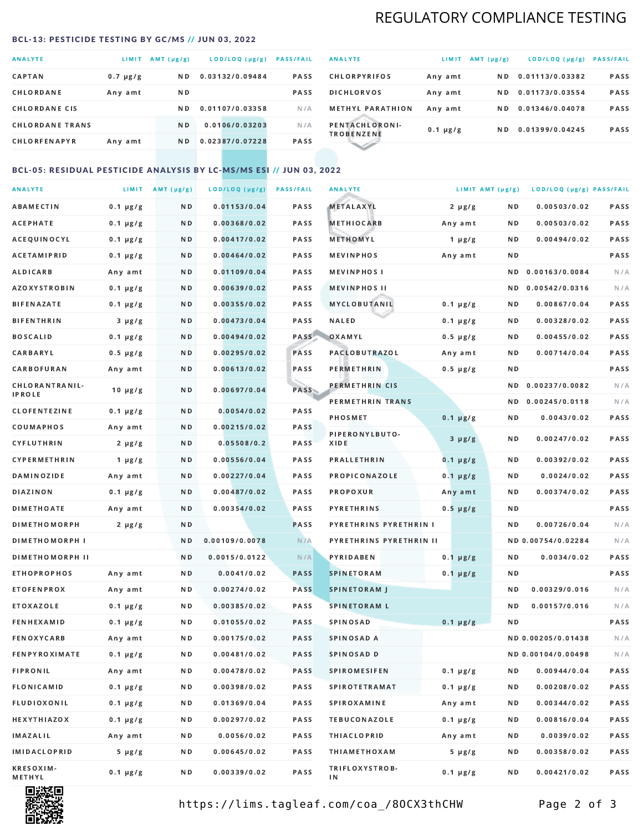# REGULATORY COMPLIANCE TESTING

#### <span id="page-1-0"></span>BCL-13: PESTICIDE TESTING BY GC/MS // JUN 03, 2022

| <b>ANALYTE</b>         | <b>LIMIT</b>  | AMT (µg/g)     | LOD/LOQ (µg/g)  | <b>PASS/FAIL</b> |
|------------------------|---------------|----------------|-----------------|------------------|
| <b>CAPTAN</b>          | $0.7 \mu g/g$ | N D            | 0.03132/0.09484 | <b>PASS</b>      |
| CHLORDANE              | Any amt       | N D            |                 | <b>PASS</b>      |
| <b>CHLORDANE CIS</b>   |               | ND.            | 0.01107/0.03358 | N/A              |
| <b>CHLORDANE TRANS</b> |               | N <sub>D</sub> | 0.0106/0.03203  | N/A              |
| <b>CHLORFENAPYR</b>    | Any amt       | N D            | 0.02387/0.07228 | <b>PASS</b>      |

| <b>ANALYTE</b>                      | LIMIT         | $AMT(\mu g/g)$ | LOD/LOQ (µg/g)  | <b>PASS/FAIL</b> |
|-------------------------------------|---------------|----------------|-----------------|------------------|
| <b>CHLORPYRIFOS</b>                 | Any amt       | N D            | 0.01113/0.03382 | <b>PASS</b>      |
| <b>DICHLORVOS</b>                   | Any amt       | ND.            | 0.01173/0.03554 | PASS             |
| <b>METHYL PARATHION</b>             | Any amt       | ND.            | 0.01346/0.04078 | <b>PASS</b>      |
| PENTACHLORONI-<br><b>TROBENZENE</b> | $0.1 \mu g/g$ | ND.            | 0.01399/0.04245 | <b>PASS</b>      |
|                                     |               |                |                 |                  |

### BCL-05: RESIDUAL PESTICIDE ANALYSIS BY LC-MS/MS ESI // JUN 03, 2022

| <b>ANALYTE</b>             |               | LIMIT $AMT (\mu g/g)$ | LOD/LOQ (µg/g) | <b>PASS/FAIL</b> | <b>ANALYTE</b>          | LIMIT AMT (µg/g) |     | LOD/LOQ (µg/g) PASS/FAIL |      |
|----------------------------|---------------|-----------------------|----------------|------------------|-------------------------|------------------|-----|--------------------------|------|
| <b>ABAMECTIN</b>           | $0.1 \mu g/g$ | N D                   | 0.01153/0.04   | PASS             | <b>METALAXYL</b>        | $2 \mu g/g$      | N D | 0.00503/0.02             | PASS |
| <b>ACEPHATE</b>            | $0.1 \mu g/g$ | N D                   | 0.00368/0.02   | PASS             | <b>METHIOCARB</b>       | Any amt          | N D | 0.00503/0.02             | PASS |
| ACEQUINOCYL                | $0.1 \mu g/g$ | N D                   | 0.00417/0.02   | PASS             | METHOMYL                | 1 $\mu$ g/g      | N D | 0.00494/0.02             | PASS |
| <b>ACETAMIPRID</b>         | $0.1 \mu g/g$ | N D                   | 0.00464/0.02   | PASS             | <b>MEVINPHOS</b>        | Any amt          | N D |                          | PASS |
| ALDICARB                   | Any amt       | N D                   | 0.01109/0.04   | <b>PASS</b>      | <b>MEVINPHOSI</b>       |                  | ND. | 0.00163/0.0084           | N/A  |
| <b>AZOXYSTROBIN</b>        | $0.1 \mu g/g$ | N D                   | 0.00639/0.02   | <b>PASS</b>      | <b>MEVINPHOS II</b>     |                  | N D | 0.00542/0.0316           | N/A  |
| <b>BIFENAZATE</b>          | $0.1 \mu g/g$ | N D                   | 0.00355/0.02   | PASS             | MYCLOBUTANIL            | $0.1 \mu g/g$    | N D | 0.00867/0.04             | PASS |
| <b>BIFENTHRIN</b>          | $3 \mu g/g$   | N D                   | 0.00473/0.04   | PASS             | <b>NALED</b>            | $0.1 \mu g/g$    | N D | 0.00328/0.02             | PASS |
| <b>BOSCALID</b>            | $0.1 \mu g/g$ | N D                   | 0.00494/0.02   | PASS             | OXAMYL                  | $0.5 \mu g/g$    | N D | 0.00455/0.02             | PASS |
| <b>CARBARYL</b>            | $0.5 \mu g/g$ | N D                   | 0.00295/0.02   | PASS             | <b>PACLOBUTRAZOL</b>    | Any amt          | N D | 0.00714/0.04             | PASS |
| CARBOFURAN                 | Any amt       | N D                   | 0.00613/0.02   | PASS             | PERMETHRIN              | $0.5 \mu g/g$    | N D |                          | PASS |
| CHLORANTRANIL-             | $10 \mu g/g$  | N D                   | 0.00697/0.04   | <b>PASS</b>      | PERMETHRIN CIS          |                  | ND. | 0.00237/0.0082           | N/A  |
| <b>IPROLE</b>              |               |                       |                |                  | PERMETHRIN TRANS        |                  |     | ND 0.00245/0.0118        | N/A  |
| <b>CLOFENTEZINE</b>        | $0.1 \mu g/g$ | ND.                   | 0.0054/0.02    | PASS             | <b>PHOSMET</b>          | $0.1 \mu g/g$    | N D | 0.0043/0.02              | PASS |
| COUMAPHOS                  | Any amt       | N D                   | 0.00215/0.02   | <b>PASS</b>      | PIPERONYLBUTO-          | $3 \mu g/g$      | N D | 0.00247/0.02             | PASS |
| CYFLUTHRIN                 | $2 \mu g/g$   | N D                   | 0.05508/0.2    | <b>PASS</b>      | XIDE                    |                  |     |                          |      |
| <b>CYPERMETHRIN</b>        | $1 \mu g/g$   | N D                   | 0.00556/0.04   | PASS             | <b>PRALLETHRIN</b>      | $0.1 \mu g/g$    | N D | 0.00392/0.02             | PASS |
| <b>DAMINOZIDE</b>          | Any amt       | N D                   | 0.00227/0.04   | PASS             | PROPICONAZOLE           | $0.1 \mu g/g$    | N D | 0.0024/0.02              | PASS |
| DIAZINON                   | $0.1 \mu g/g$ | N D                   | 0.00487/0.02   | <b>PASS</b>      | <b>PROPOXUR</b>         | Any amt          | N D | 0.00374/0.02             | PASS |
| <b>DIMETHOATE</b>          | Any amt       | N D                   | 0.00354/0.02   | PASS             | <b>PYRETHRINS</b>       | $0.5 \mu g/g$    | N D |                          | PASS |
| <b>DIMETHOMORPH</b>        | $2 \mu g/g$   | N D                   |                | PASS             | PYRETHRINS PYRETHRIN I  |                  | N D | 0.00726/0.04             | N/A  |
| <b>DIMETHOMORPH I</b>      |               | N D                   | 0.00109/0.0078 | N/A              | PYRETHRINS PYRETHRIN II |                  |     | ND 0.00754/0.02284       | N/A  |
| <b>DIMETHOMORPH II</b>     |               | ND.                   | 0.0015/0.0122  | N/A              | PYRIDABEN               | $0.1 \mu g/g$    | N D | 0.0034/0.02              | PASS |
| ETHOPROPHOS                | Any amt       | N D                   | 0.0041/0.02    | <b>PASS</b>      | <b>SPINETORAM</b>       | $0.1 \mu g/g$    | N D |                          | PASS |
| <b>ETOFENPROX</b>          | Any amt       | N D                   | 0.00274/0.02   | <b>PASS</b>      | <b>SPINETORAM J</b>     |                  | N D | 0.00329/0.016            | N/A  |
| <b>ETOXAZOLE</b>           | $0.1 \mu g/g$ | N D                   | 0.00385/0.02   | <b>PASS</b>      | <b>SPINETORAM L</b>     |                  | ND. | 0.00157/0.016            | N/A  |
| <b>FENHEXAMID</b>          | $0.1 \mu g/g$ | N D                   | 0.01055/0.02   | <b>PASS</b>      | SPINOSAD                | $0.1 \mu g/g$    | N D |                          | PASS |
| <b>FENOXYCARB</b>          | Any amt       | N D                   | 0.00175/0.02   | <b>PASS</b>      | SPINOSAD A              |                  |     | ND 0.00205/0.01438       | N/A  |
| <b>FENPYROXIMATE</b>       | $0.1 \mu g/g$ | N D                   | 0.00481/0.02   | PASS             | SPINOSAD D              |                  |     | ND 0.00104/0.00498       | N/A  |
| <b>FIPRONIL</b>            | Any amt       | N D                   | 0.00478/0.02   | PASS             | <b>SPIROMESIFEN</b>     | $0.1 \mu g/g$    | N D | 0.00944/0.04             | PASS |
| FLONICAMID                 | $0.1 \mu g/g$ | N D                   | 0.00398/0.02   | PASS             | <b>SPIROTETRAMAT</b>    | $0.1 \mu g/g$    | N D | 0.00208/0.02             | PASS |
| FLUDIOXONIL                | $0.1 \mu g/g$ | N D                   | 0.01369/0.04   | PASS             | SPIROXAMINE             | Any amt          | N D | 0.00344/0.02             | PASS |
| <b>HEXYTHIAZOX</b>         | $0.1 \mu g/g$ | N D                   | 0.00297/0.02   | PASS             | <b>TEBUCONAZOLE</b>     | $0.1 \mu g/g$    | N D | 0.00816/0.04             | PASS |
| IMAZALIL                   | Any amt       | N D                   | 0.0056/0.02    | PASS             | <b>THIACLOPRID</b>      | Any amt          | N D | 0.0039/0.02              | PASS |
| <b>IMIDACLOPRID</b>        | $5 \mu g/g$   | N D                   | 0.00645/0.02   | PASS             | <b>THIAMETHOXAM</b>     | $5 \mu g/g$      | N D | 0.00358/0.02             | PASS |
| <b>KRESOXIM-</b><br>METHYL | $0.1 \mu g/g$ | N D                   | 0.00339/0.02   | PASS             | TRIFLOXYSTROB-<br>ΙN    | $0.1 \mu g/g$    | N D | 0.00421/0.02             | PASS |



https://lims.tagleaf.com/coa\_/8OCX3thCHW Page 2 of 3